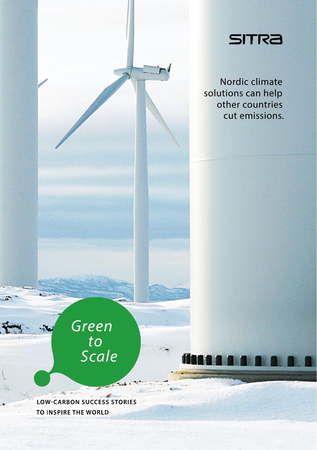

Nordic climate solutions can help other countries cut emissions.

# Green to<br>Scale

**LOW-CARBON SUCCESS STORIES** TO INSPIRE THE WORLD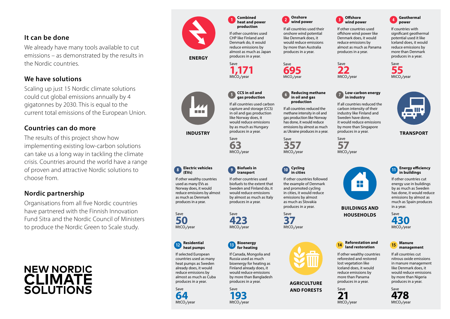### **It can be done**

We already have many tools available to cut emissions – as demonstrated by the results in the Nordic countries.

# **We have solutions**

Scaling up just 15 Nordic climate solutions could cut global emissions annually by 4 gigatonnes by 2030. This is equal to the current total emissions of the European Union.

## **Countries can do more**

The results of this project show how implementing existing low-carbon solutions can take us a long way in tackling the climate crisis. Countries around the world have a range of proven and attractive Nordic solutions to choose from.

# **Nordic partnership**

Organisations from all five Nordic countries have partnered with the Finnish Innovation Fund Sitra and the Nordic Council of Ministers to produce the Nordic Green to Scale study.

# **NEW NORDIC CLIMATE** SOI UTIONS



 **ENERGY** 

**8 Electric vehicles (EVs)** 

> **12 Residential heat pumps**

If other wealthy countries used as many EVs as Norway does, it would reduce emissions by almost as much as Denmark produces in a year.

### **1 Combined heat and power production**

If other countries used CHP like Finland and Denmark do, it would reduce emissions by almost as much as Japan produces in a year.

Save **1,171** 



capture and storage (CCS) in oil and gas production like Norway does, it would reduce emissions by as much as Hungary produces in a year. **INDUSTRY TRANSPORT** *Produces in a year.* And a sustaine produces in a year. **TRANSPORT** 

> Save **63** MtCO<sub>2</sub>/year



If other countries used biofuels to the extent that Sweden and Finland do, it would reduce emissions by almost as much as Italy produces in a year.

Save **423**<br>MtCO<sub>2</sub>/year

If Canada, Mongolia and Russia used as much bioenergy for heating as Finland already does, it would reduce emissions by more than Bangladesh produces in a year.

### **13 Bioenergy for heating**

Save **193** MtCO<sub>2</sub>/year

If selected European countries used as many heat pumps as Sweden already does, it would reduce emissions by almost as much as Cuba produces in a year.



Save **50** MtCO<sub>2</sub>/year

If all countries used their onshore wind potential like Denmark does, it would reduce emissions by more than Australia produces in a year.



If all countries used carbon

Save **357** MtCO<sub>2</sub>/year



If other countries followed the example of Denmark and promoted cycling in cities, it would reduce emissions by almost as much as Slovakia produces in a year.

**6 Reducing methane in oil and gas production**  If all countries reduced the methane intensity in oil and gas production like Norway has done, it would reduce emissions by almost as much as Ukraine produces in a year.

**2 Onshore wind power** 

Save **695** MtCO<sub>2</sub>/year

Save **37** MtCO<sub>2</sub>/year



**AGRICULTURE AND FORESTS**



If other countries used offshore wind power like Denmark does, it would reduce emissions by almost as much as Panama produces in a year.



Iceland does, it would reduce emissions by more than Denmark produces in a year. Save

**4 Geothermal power**  If countries with significant geothermal potential used it like

**55** MtCO<sub>2</sub>/year



If all countries reduced the carbon intensity of their industry like Finland and Sweden have done, it would reduce emissions by more than Singapore produces in a year.

Save **57** MtCO<sub>2</sub>/year



### **11 Energy efficiency in buildings**

If other countries cut energy use in buildings by as much as Sweden has done, it would reduce emissions by almost as much as Spain produces in a year.

Save **430** MtCO<sub>2</sub>/year

#### **15 Manure management**

If all countries cut nitrous oxide emissions in manure management like Denmark does, it would reduce emissions by more than Nigeria produces in a year.

> Save **478**

**14 Reforestation and land restoration**  If other wealthy countries reforested and restored lost vegetation like

**BUILDINGS AND HOUSEHOLDS**

Iceland does, it would reduce emissions by more than Panama produces in a year.